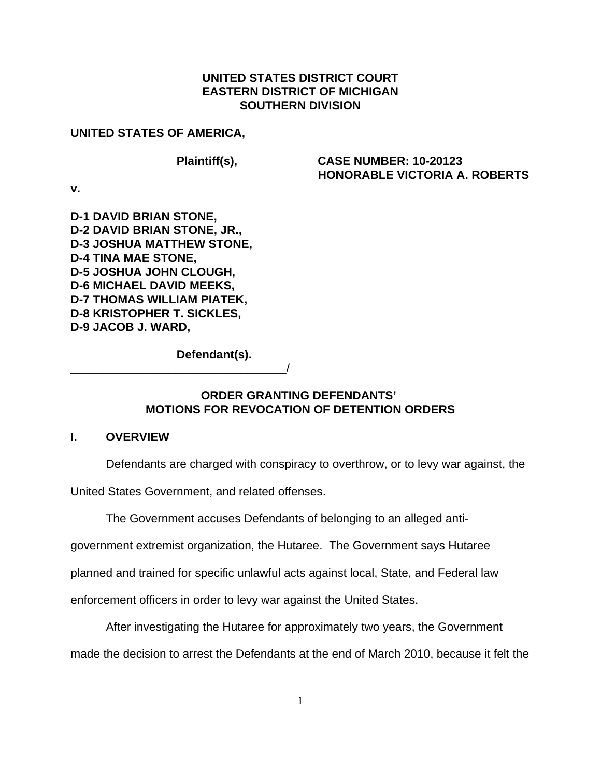# **UNITED STATES DISTRICT COURT EASTERN DISTRICT OF MICHIGAN SOUTHERN DIVISION**

## **UNITED STATES OF AMERICA,**

**Plaintiff(s), CASE NUMBER: 10-20123 HONORABLE VICTORIA A. ROBERTS**

**v.**

**D-1 DAVID BRIAN STONE, D-2 DAVID BRIAN STONE, JR., D-3 JOSHUA MATTHEW STONE, D-4 TINA MAE STONE, D-5 JOSHUA JOHN CLOUGH, D-6 MICHAEL DAVID MEEKS, D-7 THOMAS WILLIAM PIATEK, D-8 KRISTOPHER T. SICKLES, D-9 JACOB J. WARD,**

**Defendant(s).**

\_\_\_\_\_\_\_\_\_\_\_\_\_\_\_\_\_\_\_\_\_\_\_\_\_\_\_\_\_\_\_\_\_/

**ORDER GRANTING DEFENDANTS' MOTIONS FOR REVOCATION OF DETENTION ORDERS**

## **I. OVERVIEW**

Defendants are charged with conspiracy to overthrow, or to levy war against, the

United States Government, and related offenses.

The Government accuses Defendants of belonging to an alleged anti-

government extremist organization, the Hutaree. The Government says Hutaree

planned and trained for specific unlawful acts against local, State, and Federal law

enforcement officers in order to levy war against the United States.

After investigating the Hutaree for approximately two years, the Government

made the decision to arrest the Defendants at the end of March 2010, because it felt the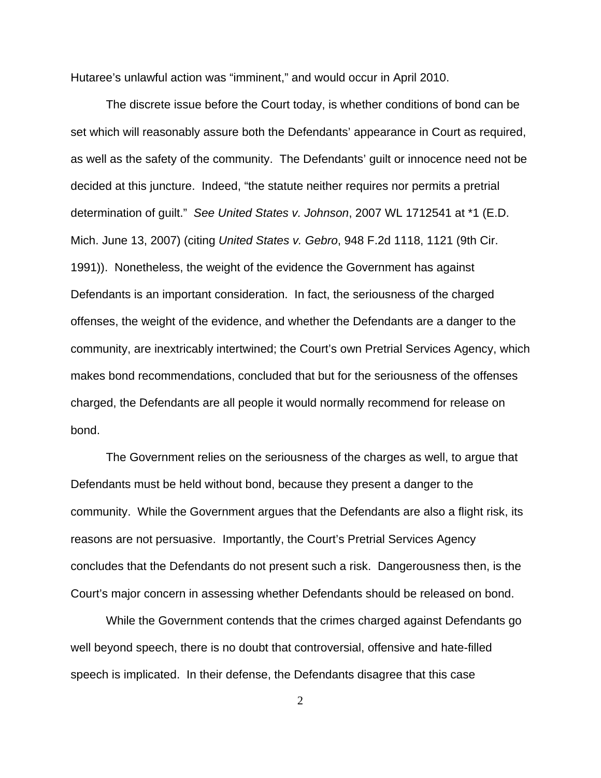Hutaree's unlawful action was "imminent," and would occur in April 2010.

The discrete issue before the Court today, is whether conditions of bond can be set which will reasonably assure both the Defendants' appearance in Court as required, as well as the safety of the community. The Defendants' guilt or innocence need not be decided at this juncture. Indeed, "the statute neither requires nor permits a pretrial determination of guilt." *See United States v. Johnson*, 2007 WL 1712541 at \*1 (E.D. Mich. June 13, 2007) (citing *United States v. Gebro*, 948 F.2d 1118, 1121 (9th Cir. 1991)). Nonetheless, the weight of the evidence the Government has against Defendants is an important consideration. In fact, the seriousness of the charged offenses, the weight of the evidence, and whether the Defendants are a danger to the community, are inextricably intertwined; the Court's own Pretrial Services Agency, which makes bond recommendations, concluded that but for the seriousness of the offenses charged, the Defendants are all people it would normally recommend for release on bond.

The Government relies on the seriousness of the charges as well, to argue that Defendants must be held without bond, because they present a danger to the community. While the Government argues that the Defendants are also a flight risk, its reasons are not persuasive. Importantly, the Court's Pretrial Services Agency concludes that the Defendants do not present such a risk. Dangerousness then, is the Court's major concern in assessing whether Defendants should be released on bond.

While the Government contends that the crimes charged against Defendants go well beyond speech, there is no doubt that controversial, offensive and hate-filled speech is implicated. In their defense, the Defendants disagree that this case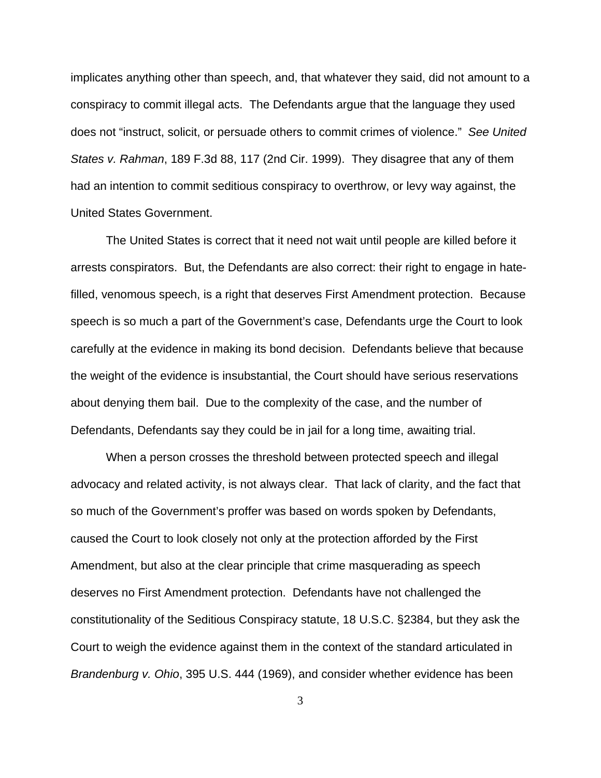implicates anything other than speech, and, that whatever they said, did not amount to a conspiracy to commit illegal acts. The Defendants argue that the language they used does not "instruct, solicit, or persuade others to commit crimes of violence." *See United States v. Rahman*, 189 F.3d 88, 117 (2nd Cir. 1999). They disagree that any of them had an intention to commit seditious conspiracy to overthrow, or levy way against, the United States Government.

The United States is correct that it need not wait until people are killed before it arrests conspirators. But, the Defendants are also correct: their right to engage in hatefilled, venomous speech, is a right that deserves First Amendment protection. Because speech is so much a part of the Government's case, Defendants urge the Court to look carefully at the evidence in making its bond decision. Defendants believe that because the weight of the evidence is insubstantial, the Court should have serious reservations about denying them bail. Due to the complexity of the case, and the number of Defendants, Defendants say they could be in jail for a long time, awaiting trial.

When a person crosses the threshold between protected speech and illegal advocacy and related activity, is not always clear. That lack of clarity, and the fact that so much of the Government's proffer was based on words spoken by Defendants, caused the Court to look closely not only at the protection afforded by the First Amendment, but also at the clear principle that crime masquerading as speech deserves no First Amendment protection. Defendants have not challenged the constitutionality of the Seditious Conspiracy statute, 18 U.S.C. §2384, but they ask the Court to weigh the evidence against them in the context of the standard articulated in *Brandenburg v. Ohio*, 395 U.S. 444 (1969), and consider whether evidence has been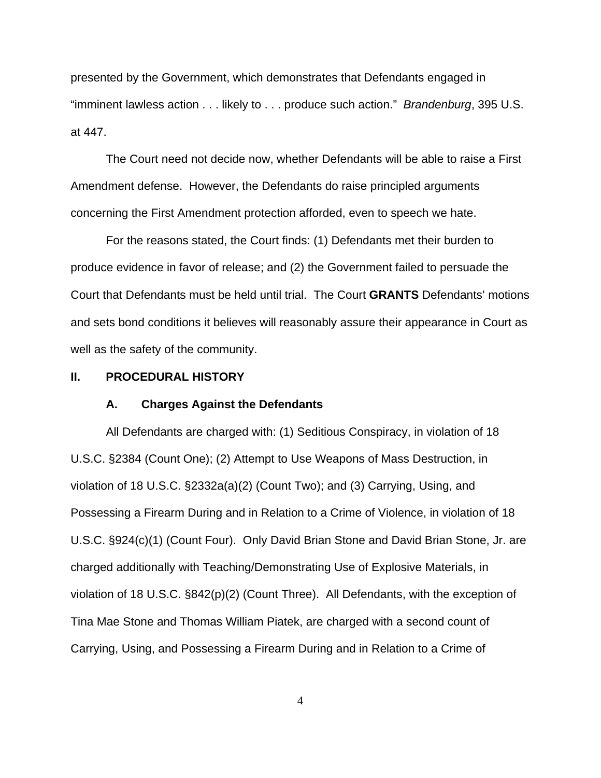presented by the Government, which demonstrates that Defendants engaged in "imminent lawless action . . . likely to . . . produce such action." *Brandenburg*, 395 U.S. at 447.

The Court need not decide now, whether Defendants will be able to raise a First Amendment defense. However, the Defendants do raise principled arguments concerning the First Amendment protection afforded, even to speech we hate.

For the reasons stated, the Court finds: (1) Defendants met their burden to produce evidence in favor of release; and (2) the Government failed to persuade the Court that Defendants must be held until trial. The Court **GRANTS** Defendants' motions and sets bond conditions it believes will reasonably assure their appearance in Court as well as the safety of the community.

### **II. PROCEDURAL HISTORY**

## **A. Charges Against the Defendants**

All Defendants are charged with: (1) Seditious Conspiracy, in violation of 18 U.S.C. §2384 (Count One); (2) Attempt to Use Weapons of Mass Destruction, in violation of 18 U.S.C. §2332a(a)(2) (Count Two); and (3) Carrying, Using, and Possessing a Firearm During and in Relation to a Crime of Violence, in violation of 18 U.S.C. §924(c)(1) (Count Four). Only David Brian Stone and David Brian Stone, Jr. are charged additionally with Teaching/Demonstrating Use of Explosive Materials, in violation of 18 U.S.C. §842(p)(2) (Count Three). All Defendants, with the exception of Tina Mae Stone and Thomas William Piatek, are charged with a second count of Carrying, Using, and Possessing a Firearm During and in Relation to a Crime of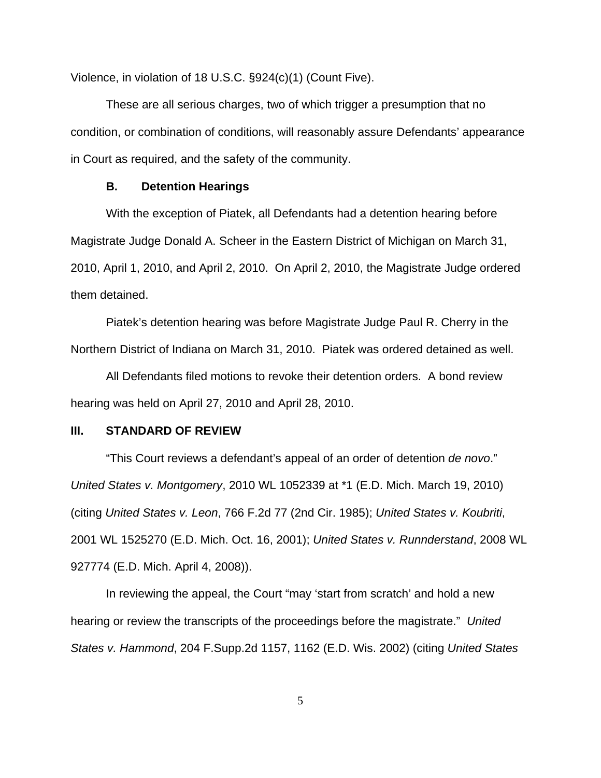Violence, in violation of 18 U.S.C. §924(c)(1) (Count Five).

These are all serious charges, two of which trigger a presumption that no condition, or combination of conditions, will reasonably assure Defendants' appearance in Court as required, and the safety of the community.

### **B. Detention Hearings**

With the exception of Piatek, all Defendants had a detention hearing before Magistrate Judge Donald A. Scheer in the Eastern District of Michigan on March 31, 2010, April 1, 2010, and April 2, 2010. On April 2, 2010, the Magistrate Judge ordered them detained.

Piatek's detention hearing was before Magistrate Judge Paul R. Cherry in the Northern District of Indiana on March 31, 2010. Piatek was ordered detained as well.

All Defendants filed motions to revoke their detention orders. A bond review hearing was held on April 27, 2010 and April 28, 2010.

### **III. STANDARD OF REVIEW**

"This Court reviews a defendant's appeal of an order of detention *de novo*." *United States v. Montgomery*, 2010 WL 1052339 at \*1 (E.D. Mich. March 19, 2010) (citing *United States v. Leon*, 766 F.2d 77 (2nd Cir. 1985); *United States v. Koubriti*, 2001 WL 1525270 (E.D. Mich. Oct. 16, 2001); *United States v. Runnderstand*, 2008 WL 927774 (E.D. Mich. April 4, 2008)).

In reviewing the appeal, the Court "may 'start from scratch' and hold a new hearing or review the transcripts of the proceedings before the magistrate." *United States v. Hammond*, 204 F.Supp.2d 1157, 1162 (E.D. Wis. 2002) (citing *United States*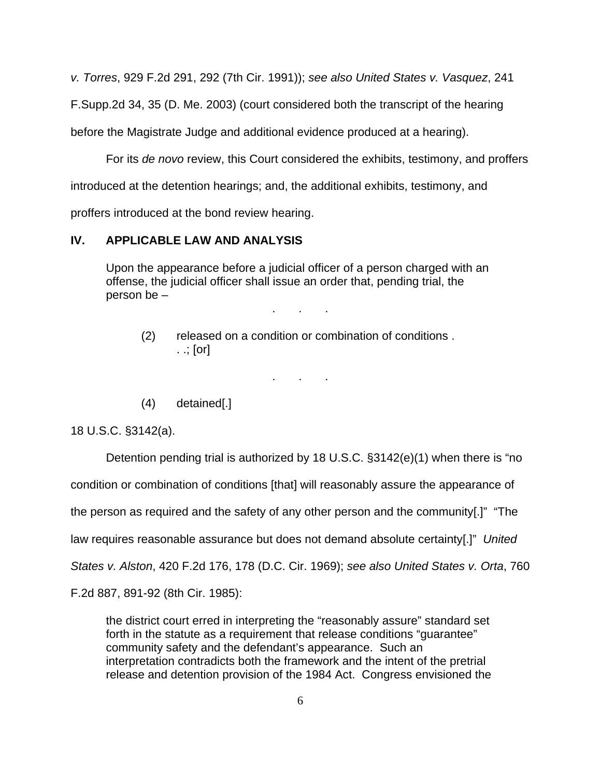*v. Torres*, 929 F.2d 291, 292 (7th Cir. 1991)); *see also United States v. Vasquez*, 241

F.Supp.2d 34, 35 (D. Me. 2003) (court considered both the transcript of the hearing

before the Magistrate Judge and additional evidence produced at a hearing).

For its *de novo* review, this Court considered the exhibits, testimony, and proffers

introduced at the detention hearings; and, the additional exhibits, testimony, and

proffers introduced at the bond review hearing.

# **IV. APPLICABLE LAW AND ANALYSIS**

Upon the appearance before a judicial officer of a person charged with an offense, the judicial officer shall issue an order that, pending trial, the person be –

. . .

(2) released on a condition or combination of conditions . . .; [or]

. . .

(4) detained[.]

# 18 U.S.C. §3142(a).

Detention pending trial is authorized by 18 U.S.C. §3142(e)(1) when there is "no condition or combination of conditions [that] will reasonably assure the appearance of the person as required and the safety of any other person and the community[.]" "The law requires reasonable assurance but does not demand absolute certainty[.]" *United States v. Alston*, 420 F.2d 176, 178 (D.C. Cir. 1969); *see also United States v. Orta*, 760 F.2d 887, 891-92 (8th Cir. 1985):

the district court erred in interpreting the "reasonably assure" standard set forth in the statute as a requirement that release conditions "guarantee" community safety and the defendant's appearance. Such an interpretation contradicts both the framework and the intent of the pretrial release and detention provision of the 1984 Act. Congress envisioned the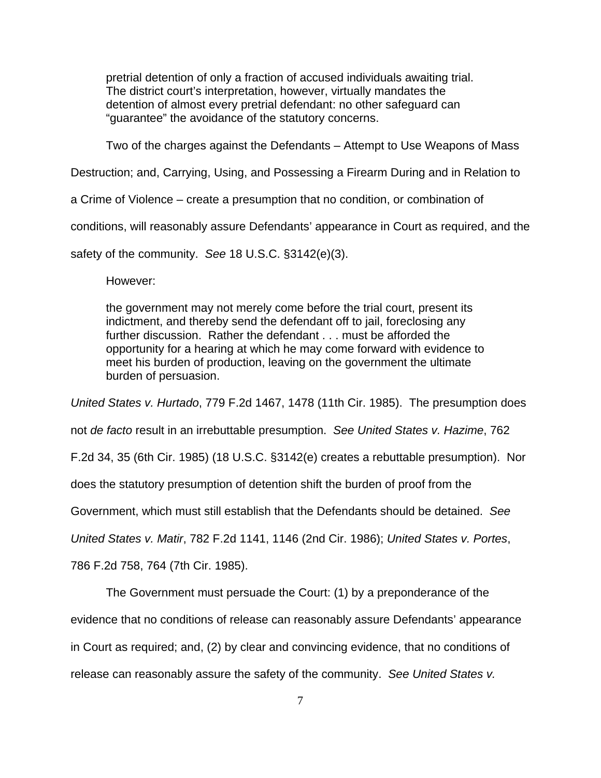pretrial detention of only a fraction of accused individuals awaiting trial. The district court's interpretation, however, virtually mandates the detention of almost every pretrial defendant: no other safeguard can "guarantee" the avoidance of the statutory concerns.

Two of the charges against the Defendants – Attempt to Use Weapons of Mass

Destruction; and, Carrying, Using, and Possessing a Firearm During and in Relation to

a Crime of Violence – create a presumption that no condition, or combination of

conditions, will reasonably assure Defendants' appearance in Court as required, and the

safety of the community. *See* 18 U.S.C. §3142(e)(3).

However:

the government may not merely come before the trial court, present its indictment, and thereby send the defendant off to jail, foreclosing any further discussion. Rather the defendant . . . must be afforded the opportunity for a hearing at which he may come forward with evidence to meet his burden of production, leaving on the government the ultimate burden of persuasion.

*United States v. Hurtado*, 779 F.2d 1467, 1478 (11th Cir. 1985). The presumption does

not *de facto* result in an irrebuttable presumption. *See United States v. Hazime*, 762

F.2d 34, 35 (6th Cir. 1985) (18 U.S.C. §3142(e) creates a rebuttable presumption). Nor

does the statutory presumption of detention shift the burden of proof from the

Government, which must still establish that the Defendants should be detained. *See*

*United States v. Matir*, 782 F.2d 1141, 1146 (2nd Cir. 1986); *United States v. Portes*,

786 F.2d 758, 764 (7th Cir. 1985).

The Government must persuade the Court: (1) by a preponderance of the evidence that no conditions of release can reasonably assure Defendants' appearance in Court as required; and, (2) by clear and convincing evidence, that no conditions of release can reasonably assure the safety of the community. *See United States v.*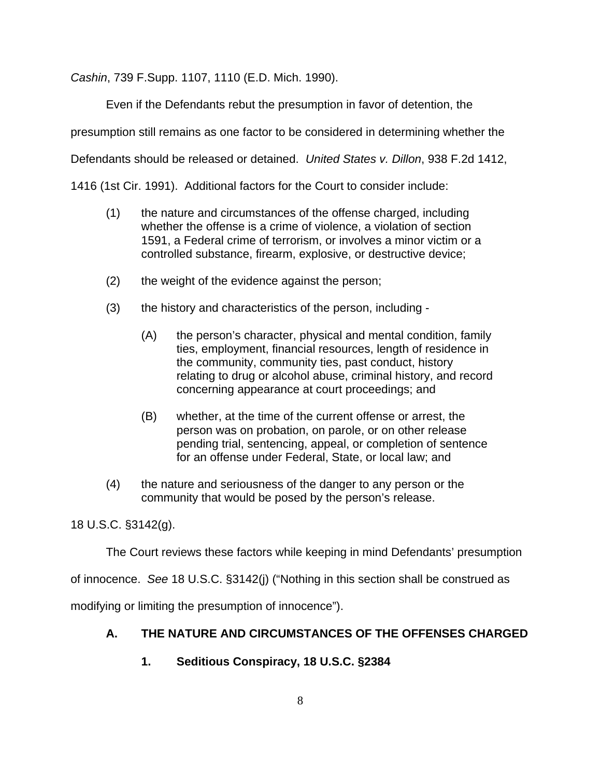*Cashin*, 739 F.Supp. 1107, 1110 (E.D. Mich. 1990).

Even if the Defendants rebut the presumption in favor of detention, the presumption still remains as one factor to be considered in determining whether the Defendants should be released or detained. *United States v. Dillon*, 938 F.2d 1412, 1416 (1st Cir. 1991). Additional factors for the Court to consider include:

- (1) the nature and circumstances of the offense charged, including whether the offense is a crime of violence, a violation of section 1591, a Federal crime of terrorism, or involves a minor victim or a controlled substance, firearm, explosive, or destructive device;
- (2) the weight of the evidence against the person;
- (3) the history and characteristics of the person, including
	- (A) the person's character, physical and mental condition, family ties, employment, financial resources, length of residence in the community, community ties, past conduct, history relating to drug or alcohol abuse, criminal history, and record concerning appearance at court proceedings; and
	- (B) whether, at the time of the current offense or arrest, the person was on probation, on parole, or on other release pending trial, sentencing, appeal, or completion of sentence for an offense under Federal, State, or local law; and
- (4) the nature and seriousness of the danger to any person or the community that would be posed by the person's release.

18 U.S.C. §3142(g).

The Court reviews these factors while keeping in mind Defendants' presumption

of innocence. *See* 18 U.S.C. §3142(j) ("Nothing in this section shall be construed as

modifying or limiting the presumption of innocence").

# **A. THE NATURE AND CIRCUMSTANCES OF THE OFFENSES CHARGED**

# **1. Seditious Conspiracy, 18 U.S.C. §2384**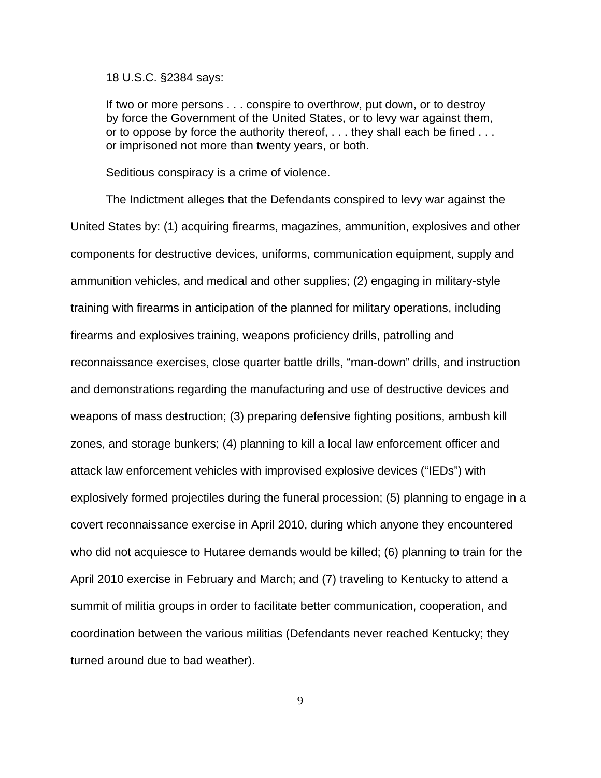18 U.S.C. §2384 says:

If two or more persons . . . conspire to overthrow, put down, or to destroy by force the Government of the United States, or to levy war against them, or to oppose by force the authority thereof, . . . they shall each be fined . . . or imprisoned not more than twenty years, or both.

Seditious conspiracy is a crime of violence.

The Indictment alleges that the Defendants conspired to levy war against the United States by: (1) acquiring firearms, magazines, ammunition, explosives and other components for destructive devices, uniforms, communication equipment, supply and ammunition vehicles, and medical and other supplies; (2) engaging in military-style training with firearms in anticipation of the planned for military operations, including firearms and explosives training, weapons proficiency drills, patrolling and reconnaissance exercises, close quarter battle drills, "man-down" drills, and instruction and demonstrations regarding the manufacturing and use of destructive devices and weapons of mass destruction; (3) preparing defensive fighting positions, ambush kill zones, and storage bunkers; (4) planning to kill a local law enforcement officer and attack law enforcement vehicles with improvised explosive devices ("IEDs") with explosively formed projectiles during the funeral procession; (5) planning to engage in a covert reconnaissance exercise in April 2010, during which anyone they encountered who did not acquiesce to Hutaree demands would be killed; (6) planning to train for the April 2010 exercise in February and March; and (7) traveling to Kentucky to attend a summit of militia groups in order to facilitate better communication, cooperation, and coordination between the various militias (Defendants never reached Kentucky; they turned around due to bad weather).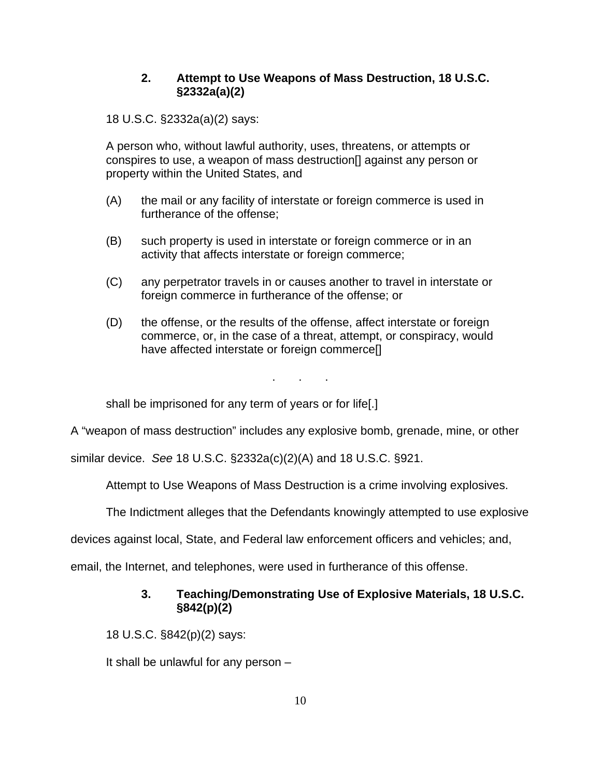# **2. Attempt to Use Weapons of Mass Destruction, 18 U.S.C. §2332a(a)(2)**

18 U.S.C. §2332a(a)(2) says:

A person who, without lawful authority, uses, threatens, or attempts or conspires to use, a weapon of mass destruction[] against any person or property within the United States, and

- (A) the mail or any facility of interstate or foreign commerce is used in furtherance of the offense;
- (B) such property is used in interstate or foreign commerce or in an activity that affects interstate or foreign commerce;
- (C) any perpetrator travels in or causes another to travel in interstate or foreign commerce in furtherance of the offense; or
- (D) the offense, or the results of the offense, affect interstate or foreign commerce, or, in the case of a threat, attempt, or conspiracy, would have affected interstate or foreign commerce[]

. . .

shall be imprisoned for any term of years or for life[.]

A "weapon of mass destruction" includes any explosive bomb, grenade, mine, or other

similar device. *See* 18 U.S.C. §2332a(c)(2)(A) and 18 U.S.C. §921.

Attempt to Use Weapons of Mass Destruction is a crime involving explosives.

The Indictment alleges that the Defendants knowingly attempted to use explosive

devices against local, State, and Federal law enforcement officers and vehicles; and,

email, the Internet, and telephones, were used in furtherance of this offense.

# **3. Teaching/Demonstrating Use of Explosive Materials, 18 U.S.C. §842(p)(2)**

18 U.S.C. §842(p)(2) says:

It shall be unlawful for any person –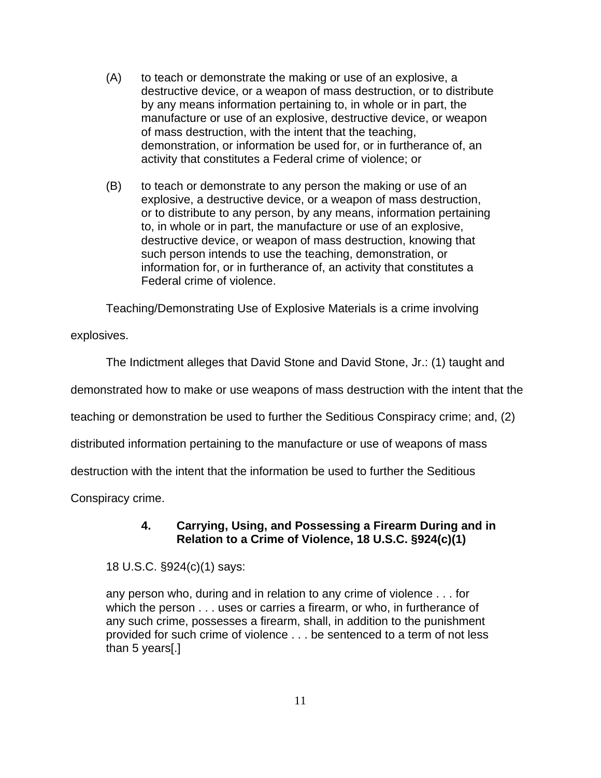- (A) to teach or demonstrate the making or use of an explosive, a destructive device, or a weapon of mass destruction, or to distribute by any means information pertaining to, in whole or in part, the manufacture or use of an explosive, destructive device, or weapon of mass destruction, with the intent that the teaching, demonstration, or information be used for, or in furtherance of, an activity that constitutes a Federal crime of violence; or
- (B) to teach or demonstrate to any person the making or use of an explosive, a destructive device, or a weapon of mass destruction, or to distribute to any person, by any means, information pertaining to, in whole or in part, the manufacture or use of an explosive, destructive device, or weapon of mass destruction, knowing that such person intends to use the teaching, demonstration, or information for, or in furtherance of, an activity that constitutes a Federal crime of violence.

Teaching/Demonstrating Use of Explosive Materials is a crime involving

explosives.

The Indictment alleges that David Stone and David Stone, Jr.: (1) taught and

demonstrated how to make or use weapons of mass destruction with the intent that the

teaching or demonstration be used to further the Seditious Conspiracy crime; and, (2)

distributed information pertaining to the manufacture or use of weapons of mass

destruction with the intent that the information be used to further the Seditious

Conspiracy crime.

# **4. Carrying, Using, and Possessing a Firearm During and in Relation to a Crime of Violence, 18 U.S.C. §924(c)(1)**

18 U.S.C. §924(c)(1) says:

any person who, during and in relation to any crime of violence . . . for which the person . . . uses or carries a firearm, or who, in furtherance of any such crime, possesses a firearm, shall, in addition to the punishment provided for such crime of violence . . . be sentenced to a term of not less than 5 years[.]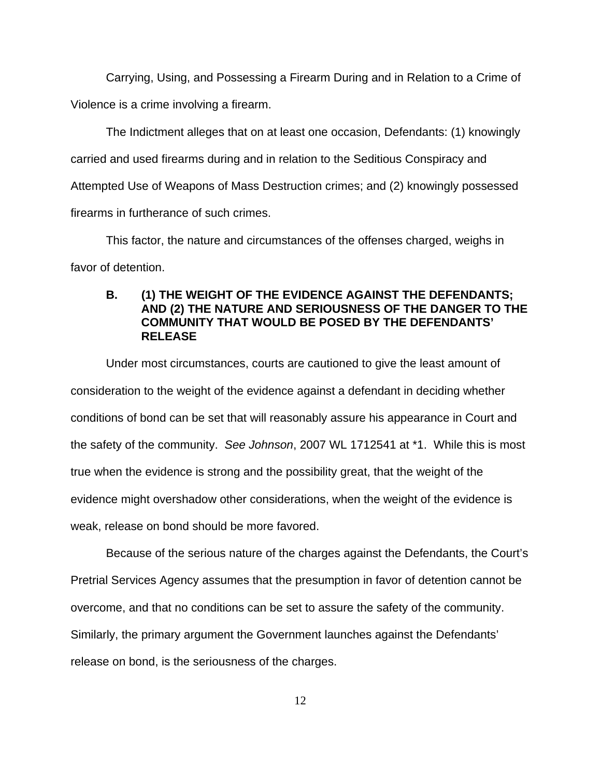Carrying, Using, and Possessing a Firearm During and in Relation to a Crime of Violence is a crime involving a firearm.

The Indictment alleges that on at least one occasion, Defendants: (1) knowingly carried and used firearms during and in relation to the Seditious Conspiracy and Attempted Use of Weapons of Mass Destruction crimes; and (2) knowingly possessed firearms in furtherance of such crimes.

This factor, the nature and circumstances of the offenses charged, weighs in favor of detention.

# **B. (1) THE WEIGHT OF THE EVIDENCE AGAINST THE DEFENDANTS; AND (2) THE NATURE AND SERIOUSNESS OF THE DANGER TO THE COMMUNITY THAT WOULD BE POSED BY THE DEFENDANTS' RELEASE**

Under most circumstances, courts are cautioned to give the least amount of consideration to the weight of the evidence against a defendant in deciding whether conditions of bond can be set that will reasonably assure his appearance in Court and the safety of the community. *See Johnson*, 2007 WL 1712541 at \*1. While this is most true when the evidence is strong and the possibility great, that the weight of the evidence might overshadow other considerations, when the weight of the evidence is weak, release on bond should be more favored.

Because of the serious nature of the charges against the Defendants, the Court's Pretrial Services Agency assumes that the presumption in favor of detention cannot be overcome, and that no conditions can be set to assure the safety of the community. Similarly, the primary argument the Government launches against the Defendants' release on bond, is the seriousness of the charges.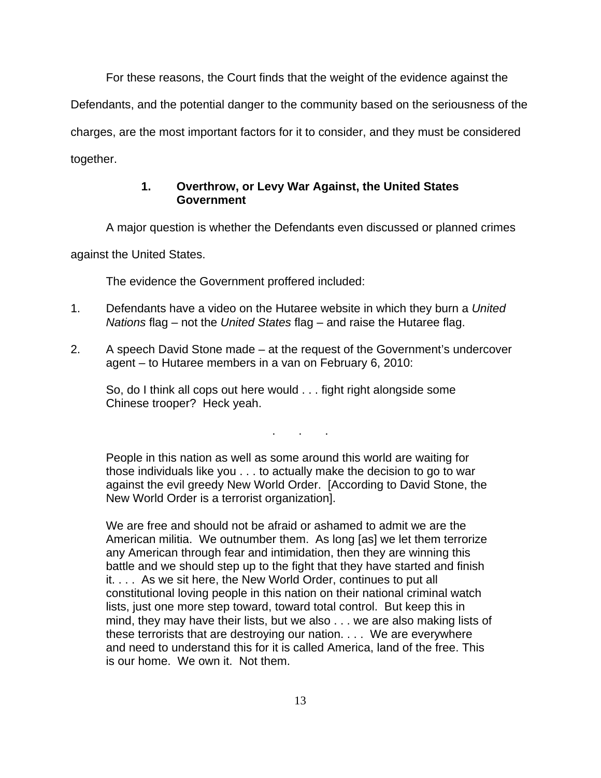For these reasons, the Court finds that the weight of the evidence against the

Defendants, and the potential danger to the community based on the seriousness of the

charges, are the most important factors for it to consider, and they must be considered together.

# **1. Overthrow, or Levy War Against, the United States Government**

A major question is whether the Defendants even discussed or planned crimes

against the United States.

The evidence the Government proffered included:

- 1. Defendants have a video on the Hutaree website in which they burn a *United Nations* flag – not the *United States* flag – and raise the Hutaree flag.
- 2. A speech David Stone made at the request of the Government's undercover agent – to Hutaree members in a van on February 6, 2010:

So, do I think all cops out here would . . . fight right alongside some Chinese trooper? Heck yeah.

. . .

People in this nation as well as some around this world are waiting for those individuals like you . . . to actually make the decision to go to war against the evil greedy New World Order. [According to David Stone, the New World Order is a terrorist organization].

We are free and should not be afraid or ashamed to admit we are the American militia. We outnumber them. As long [as] we let them terrorize any American through fear and intimidation, then they are winning this battle and we should step up to the fight that they have started and finish it. . . . As we sit here, the New World Order, continues to put all constitutional loving people in this nation on their national criminal watch lists, just one more step toward, toward total control. But keep this in mind, they may have their lists, but we also . . . we are also making lists of these terrorists that are destroying our nation. . . . We are everywhere and need to understand this for it is called America, land of the free. This is our home. We own it. Not them.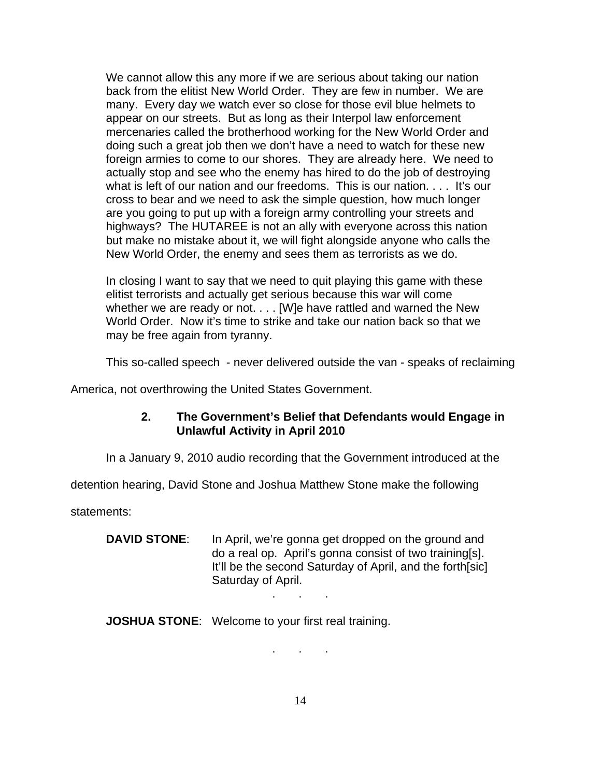We cannot allow this any more if we are serious about taking our nation back from the elitist New World Order. They are few in number. We are many. Every day we watch ever so close for those evil blue helmets to appear on our streets. But as long as their Interpol law enforcement mercenaries called the brotherhood working for the New World Order and doing such a great job then we don't have a need to watch for these new foreign armies to come to our shores. They are already here. We need to actually stop and see who the enemy has hired to do the job of destroying what is left of our nation and our freedoms. This is our nation.... It's our cross to bear and we need to ask the simple question, how much longer are you going to put up with a foreign army controlling your streets and highways? The HUTAREE is not an ally with everyone across this nation but make no mistake about it, we will fight alongside anyone who calls the New World Order, the enemy and sees them as terrorists as we do.

In closing I want to say that we need to quit playing this game with these elitist terrorists and actually get serious because this war will come whether we are ready or not. . . . [W]e have rattled and warned the New World Order. Now it's time to strike and take our nation back so that we may be free again from tyranny.

This so-called speech - never delivered outside the van - speaks of reclaiming

America, not overthrowing the United States Government.

# **2. The Government's Belief that Defendants would Engage in Unlawful Activity in April 2010**

In a January 9, 2010 audio recording that the Government introduced at the

detention hearing, David Stone and Joshua Matthew Stone make the following

statements:

**DAVID STONE:** In April, we're gonna get dropped on the ground and do a real op. April's gonna consist of two training[s]. It'll be the second Saturday of April, and the forth[sic] Saturday of April. . . .

**JOSHUA STONE**: Welcome to your first real training.

. . .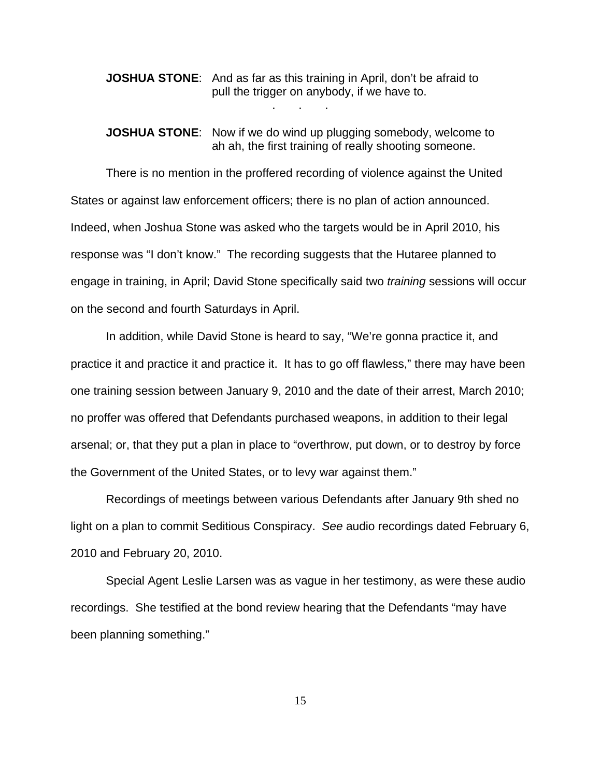# **JOSHUA STONE**: And as far as this training in April, don't be afraid to pull the trigger on anybody, if we have to. . . .

## **JOSHUA STONE**: Now if we do wind up plugging somebody, welcome to ah ah, the first training of really shooting someone.

There is no mention in the proffered recording of violence against the United States or against law enforcement officers; there is no plan of action announced. Indeed, when Joshua Stone was asked who the targets would be in April 2010, his response was "I don't know." The recording suggests that the Hutaree planned to engage in training, in April; David Stone specifically said two *training* sessions will occur on the second and fourth Saturdays in April.

In addition, while David Stone is heard to say, "We're gonna practice it, and practice it and practice it and practice it. It has to go off flawless," there may have been one training session between January 9, 2010 and the date of their arrest, March 2010; no proffer was offered that Defendants purchased weapons, in addition to their legal arsenal; or, that they put a plan in place to "overthrow, put down, or to destroy by force the Government of the United States, or to levy war against them."

Recordings of meetings between various Defendants after January 9th shed no light on a plan to commit Seditious Conspiracy. *See* audio recordings dated February 6, 2010 and February 20, 2010.

Special Agent Leslie Larsen was as vague in her testimony, as were these audio recordings. She testified at the bond review hearing that the Defendants "may have been planning something."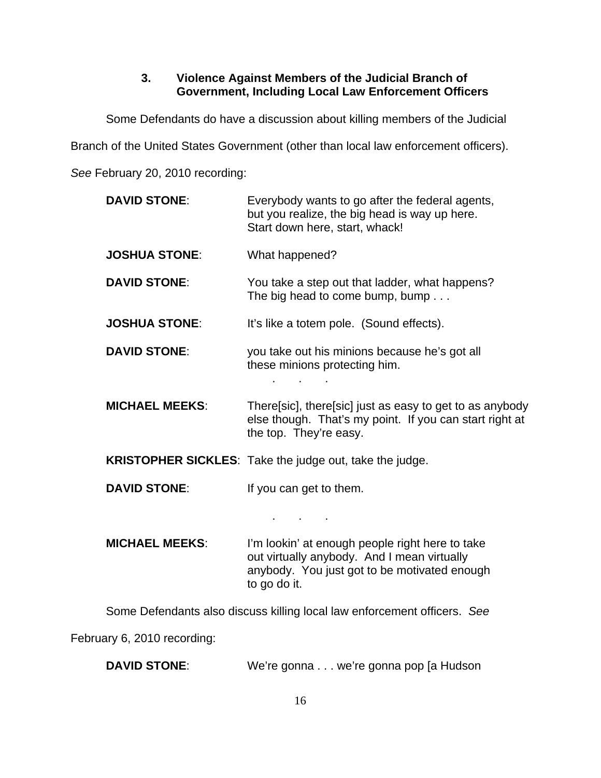# **3. Violence Against Members of the Judicial Branch of Government, Including Local Law Enforcement Officers**

Some Defendants do have a discussion about killing members of the Judicial

Branch of the United States Government (other than local law enforcement officers).

*See* February 20, 2010 recording:

| <b>DAVID STONE:</b>   | Everybody wants to go after the federal agents,<br>but you realize, the big head is way up here.<br>Start down here, start, whack!                             |  |
|-----------------------|----------------------------------------------------------------------------------------------------------------------------------------------------------------|--|
| <b>JOSHUA STONE:</b>  | What happened?                                                                                                                                                 |  |
| <b>DAVID STONE:</b>   | You take a step out that ladder, what happens?<br>The big head to come bump, bump                                                                              |  |
| <b>JOSHUA STONE:</b>  | It's like a totem pole. (Sound effects).                                                                                                                       |  |
| <b>DAVID STONE:</b>   | you take out his minions because he's got all<br>these minions protecting him.                                                                                 |  |
| <b>MICHAEL MEEKS:</b> | There[sic], there[sic] just as easy to get to as anybody<br>else though. That's my point. If you can start right at<br>the top. They're easy.                  |  |
|                       | KRISTOPHER SICKLES: Take the judge out, take the judge.                                                                                                        |  |
| <b>DAVID STONE:</b>   | If you can get to them.                                                                                                                                        |  |
|                       |                                                                                                                                                                |  |
| <b>MICHAEL MEEKS:</b> | I'm lookin' at enough people right here to take<br>out virtually anybody. And I mean virtually<br>anybody. You just got to be motivated enough<br>to go do it. |  |
|                       | Some Defendants also discuss killing local law enforcement officers. See                                                                                       |  |
|                       |                                                                                                                                                                |  |

February 6, 2010 recording:

| <b>DAVID STONE:</b> |  | We're gonna we're gonna pop [a Hudson |
|---------------------|--|---------------------------------------|
|---------------------|--|---------------------------------------|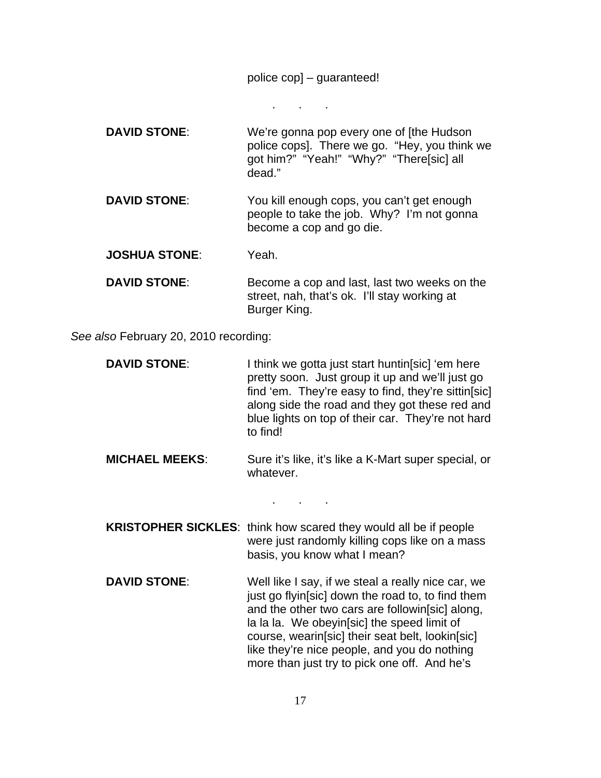police cop] – guaranteed!

. . .

**DAVID STONE:** We're gonna pop every one of [the Hudson police cops]. There we go. "Hey, you think we got him?" "Yeah!" "Why?" "There[sic] all dead." **DAVID STONE:** You kill enough cops, you can't get enough people to take the job. Why? I'm not gonna become a cop and go die. **JOSHUA STONE**: Yeah. **DAVID STONE:** Become a cop and last, last two weeks on the street, nah, that's ok. I'll stay working at Burger King.

*See also* February 20, 2010 recording:

- **DAVID STONE:** I think we gotta just start huntin[sic] 'em here pretty soon. Just group it up and we'll just go find 'em. They're easy to find, they're sittin[sic] along side the road and they got these red and blue lights on top of their car. They're not hard to find!
- **MICHAEL MEEKS:** Sure it's like, it's like a K-Mart super special, or whatever.

. . .

**KRISTOPHER SICKLES**: think how scared they would all be if people were just randomly killing cops like on a mass basis, you know what I mean?

**DAVID STONE:** Well like I say, if we steal a really nice car, we just go flyin[sic] down the road to, to find them and the other two cars are followin[sic] along, la la la. We obeyin[sic] the speed limit of course, wearin[sic] their seat belt, lookin[sic] like they're nice people, and you do nothing more than just try to pick one off. And he's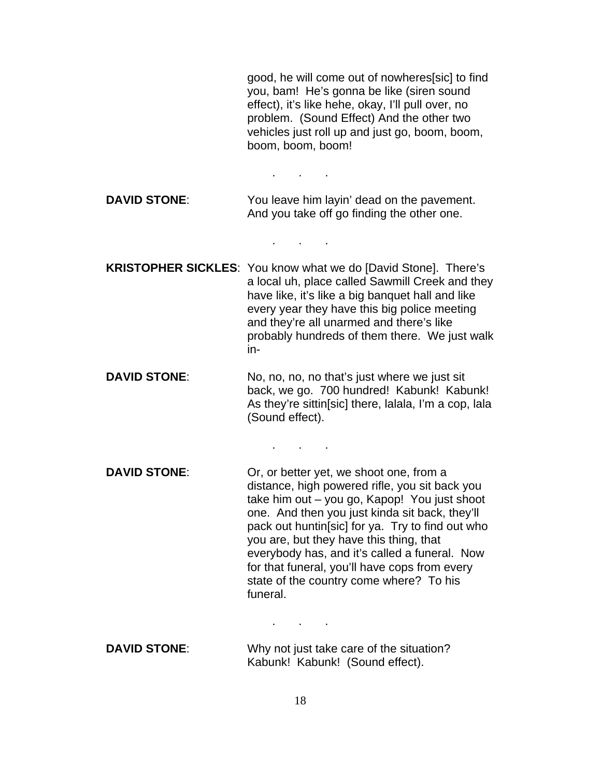good, he will come out of nowheres[sic] to find you, bam! He's gonna be like (siren sound effect), it's like hehe, okay, I'll pull over, no problem. (Sound Effect) And the other two vehicles just roll up and just go, boom, boom, boom, boom, boom!

**DAVID STONE:** You leave him layin' dead on the pavement. And you take off go finding the other one.

. . .

**KRISTOPHER SICKLES**: You know what we do [David Stone]. There's a local uh, place called Sawmill Creek and they have like, it's like a big banquet hall and like every year they have this big police meeting and they're all unarmed and there's like probably hundreds of them there. We just walk in-

. . .

**DAVID STONE:** No, no, no, no that's just where we just sit back, we go. 700 hundred! Kabunk! Kabunk! As they're sittin[sic] there, lalala, I'm a cop, lala (Sound effect).

. . .

**DAVID STONE:** Or, or better yet, we shoot one, from a distance, high powered rifle, you sit back you take him out – you go, Kapop! You just shoot one. And then you just kinda sit back, they'll pack out huntin[sic] for ya. Try to find out who you are, but they have this thing, that everybody has, and it's called a funeral. Now for that funeral, you'll have cops from every state of the country come where? To his funeral.

**DAVID STONE:** Why not just take care of the situation? Kabunk! Kabunk! (Sound effect).

. . .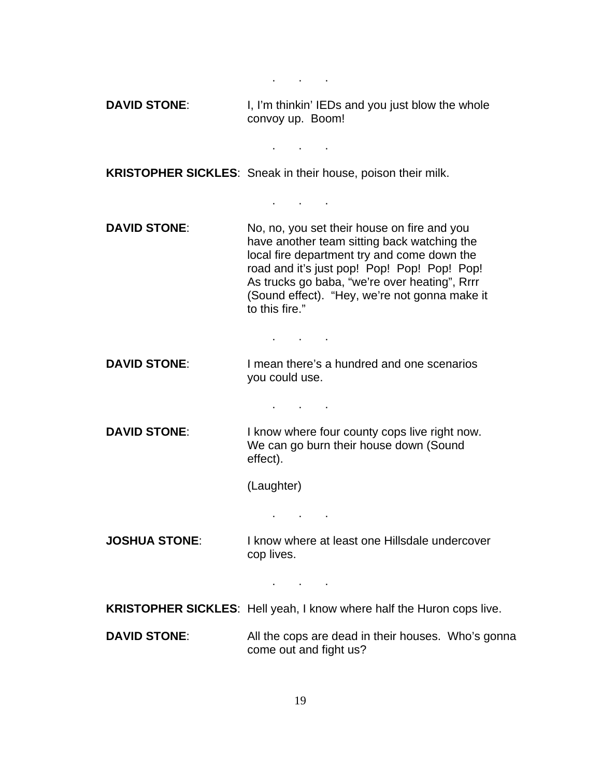. . . **DAVID STONE:** I, I'm thinkin' IEDs and you just blow the whole convoy up. Boom! . . . **KRISTOPHER SICKLES**: Sneak in their house, poison their milk. . . . **DAVID STONE:** No, no, you set their house on fire and you have another team sitting back watching the local fire department try and come down the road and it's just pop! Pop! Pop! Pop! Pop! As trucks go baba, "we're over heating", Rrrr (Sound effect). "Hey, we're not gonna make it to this fire." . . . **DAVID STONE:** I mean there's a hundred and one scenarios you could use. . . . **DAVID STONE:** I know where four county cops live right now. We can go burn their house down (Sound effect). (Laughter) . . . **JOSHUA STONE:** I know where at least one Hillsdale undercover cop lives. . . . **KRISTOPHER SICKLES**: Hell yeah, I know where half the Huron cops live. **DAVID STONE:** All the cops are dead in their houses. Who's gonna come out and fight us?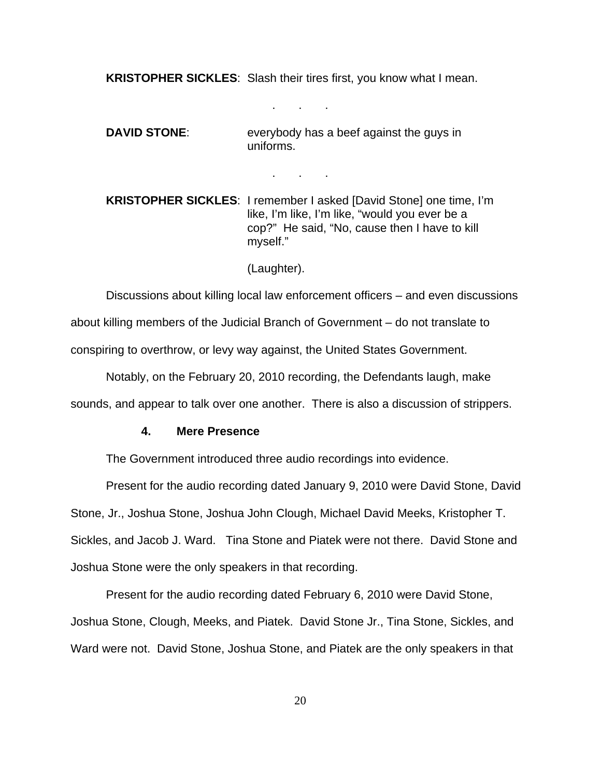**KRISTOPHER SICKLES**: Slash their tires first, you know what I mean.

. . .

**DAVID STONE:** everybody has a beef against the guys in uniforms.

. . .

**KRISTOPHER SICKLES**: I remember I asked [David Stone] one time, I'm like, I'm like, I'm like, "would you ever be a cop?" He said, "No, cause then I have to kill myself."

(Laughter).

Discussions about killing local law enforcement officers – and even discussions about killing members of the Judicial Branch of Government – do not translate to conspiring to overthrow, or levy way against, the United States Government.

Notably, on the February 20, 2010 recording, the Defendants laugh, make sounds, and appear to talk over one another. There is also a discussion of strippers.

#### **4. Mere Presence**

The Government introduced three audio recordings into evidence.

Present for the audio recording dated January 9, 2010 were David Stone, David Stone, Jr., Joshua Stone, Joshua John Clough, Michael David Meeks, Kristopher T. Sickles, and Jacob J. Ward. Tina Stone and Piatek were not there. David Stone and Joshua Stone were the only speakers in that recording.

Present for the audio recording dated February 6, 2010 were David Stone, Joshua Stone, Clough, Meeks, and Piatek. David Stone Jr., Tina Stone, Sickles, and Ward were not. David Stone, Joshua Stone, and Piatek are the only speakers in that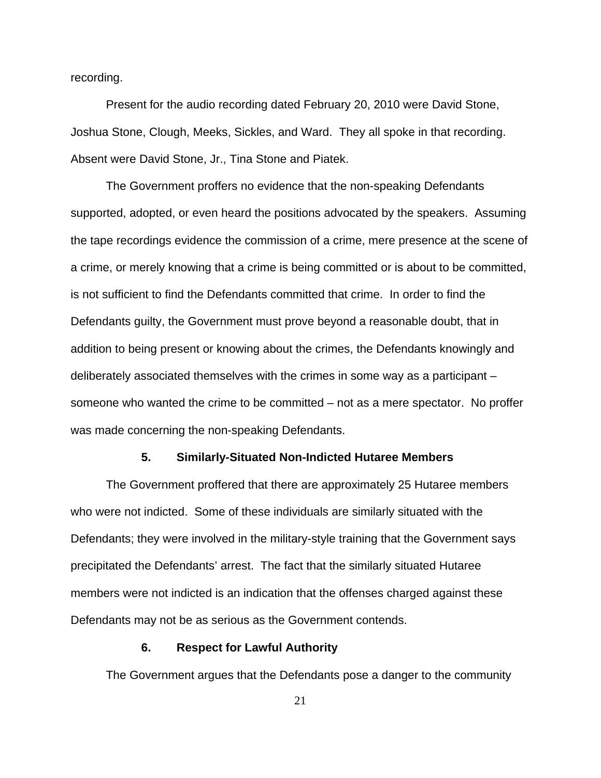recording.

Present for the audio recording dated February 20, 2010 were David Stone, Joshua Stone, Clough, Meeks, Sickles, and Ward. They all spoke in that recording. Absent were David Stone, Jr., Tina Stone and Piatek.

The Government proffers no evidence that the non-speaking Defendants supported, adopted, or even heard the positions advocated by the speakers. Assuming the tape recordings evidence the commission of a crime, mere presence at the scene of a crime, or merely knowing that a crime is being committed or is about to be committed, is not sufficient to find the Defendants committed that crime. In order to find the Defendants guilty, the Government must prove beyond a reasonable doubt, that in addition to being present or knowing about the crimes, the Defendants knowingly and deliberately associated themselves with the crimes in some way as a participant – someone who wanted the crime to be committed – not as a mere spectator. No proffer was made concerning the non-speaking Defendants.

#### **5. Similarly-Situated Non-Indicted Hutaree Members**

The Government proffered that there are approximately 25 Hutaree members who were not indicted. Some of these individuals are similarly situated with the Defendants; they were involved in the military-style training that the Government says precipitated the Defendants' arrest. The fact that the similarly situated Hutaree members were not indicted is an indication that the offenses charged against these Defendants may not be as serious as the Government contends.

## **6. Respect for Lawful Authority**

The Government argues that the Defendants pose a danger to the community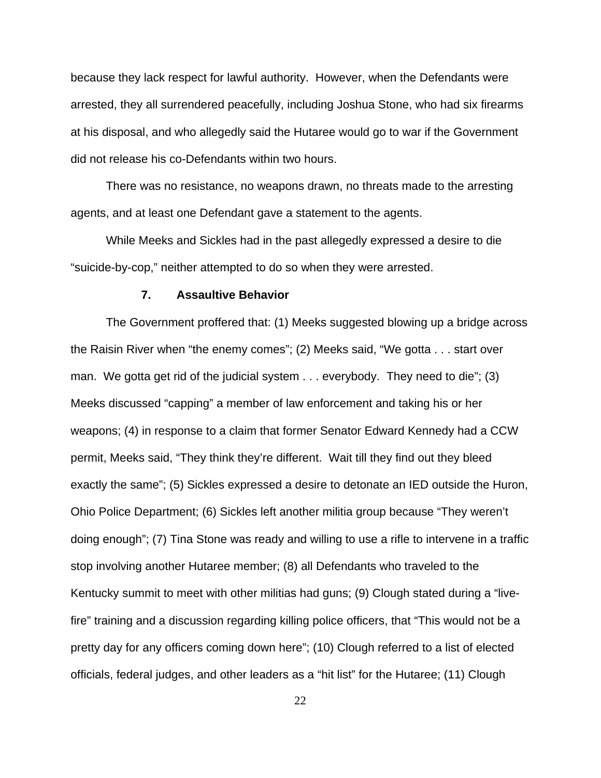because they lack respect for lawful authority. However, when the Defendants were arrested, they all surrendered peacefully, including Joshua Stone, who had six firearms at his disposal, and who allegedly said the Hutaree would go to war if the Government did not release his co-Defendants within two hours.

There was no resistance, no weapons drawn, no threats made to the arresting agents, and at least one Defendant gave a statement to the agents.

While Meeks and Sickles had in the past allegedly expressed a desire to die "suicide-by-cop," neither attempted to do so when they were arrested.

### **7. Assaultive Behavior**

The Government proffered that: (1) Meeks suggested blowing up a bridge across the Raisin River when "the enemy comes"; (2) Meeks said, "We gotta . . . start over man. We gotta get rid of the judicial system . . . everybody. They need to die"; (3) Meeks discussed "capping" a member of law enforcement and taking his or her weapons; (4) in response to a claim that former Senator Edward Kennedy had a CCW permit, Meeks said, "They think they're different. Wait till they find out they bleed exactly the same"; (5) Sickles expressed a desire to detonate an IED outside the Huron, Ohio Police Department; (6) Sickles left another militia group because "They weren't doing enough"; (7) Tina Stone was ready and willing to use a rifle to intervene in a traffic stop involving another Hutaree member; (8) all Defendants who traveled to the Kentucky summit to meet with other militias had guns; (9) Clough stated during a "livefire" training and a discussion regarding killing police officers, that "This would not be a pretty day for any officers coming down here"; (10) Clough referred to a list of elected officials, federal judges, and other leaders as a "hit list" for the Hutaree; (11) Clough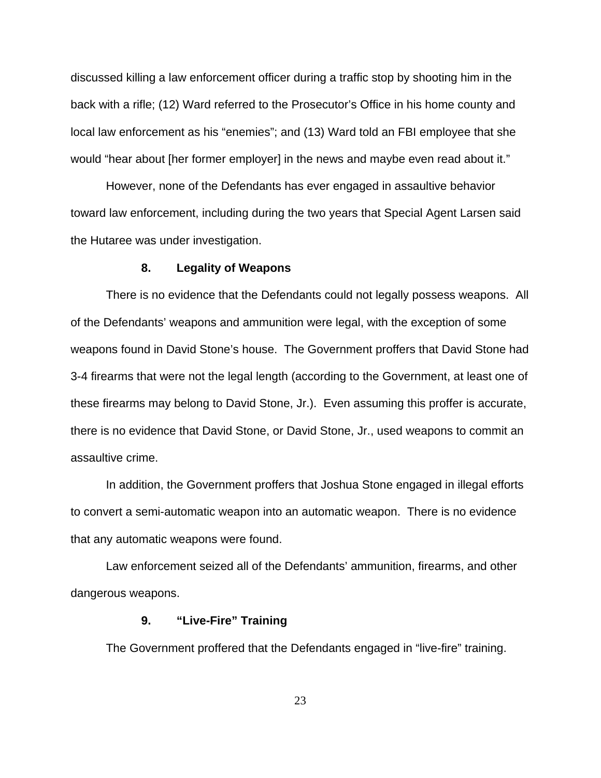discussed killing a law enforcement officer during a traffic stop by shooting him in the back with a rifle; (12) Ward referred to the Prosecutor's Office in his home county and local law enforcement as his "enemies"; and (13) Ward told an FBI employee that she would "hear about [her former employer] in the news and maybe even read about it."

However, none of the Defendants has ever engaged in assaultive behavior toward law enforcement, including during the two years that Special Agent Larsen said the Hutaree was under investigation.

#### **8. Legality of Weapons**

There is no evidence that the Defendants could not legally possess weapons. All of the Defendants' weapons and ammunition were legal, with the exception of some weapons found in David Stone's house. The Government proffers that David Stone had 3-4 firearms that were not the legal length (according to the Government, at least one of these firearms may belong to David Stone, Jr.). Even assuming this proffer is accurate, there is no evidence that David Stone, or David Stone, Jr., used weapons to commit an assaultive crime.

In addition, the Government proffers that Joshua Stone engaged in illegal efforts to convert a semi-automatic weapon into an automatic weapon. There is no evidence that any automatic weapons were found.

Law enforcement seized all of the Defendants' ammunition, firearms, and other dangerous weapons.

### **9. "Live-Fire" Training**

The Government proffered that the Defendants engaged in "live-fire" training.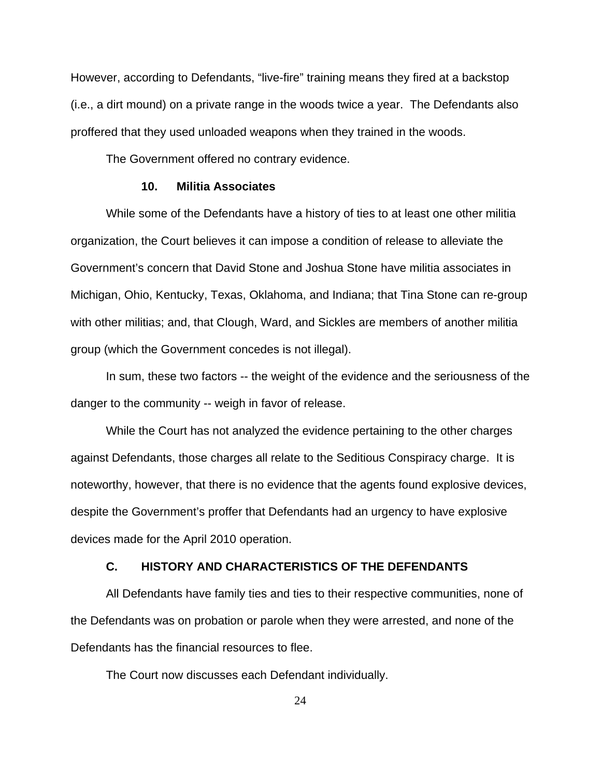However, according to Defendants, "live-fire" training means they fired at a backstop (i.e., a dirt mound) on a private range in the woods twice a year. The Defendants also proffered that they used unloaded weapons when they trained in the woods.

The Government offered no contrary evidence.

#### **10. Militia Associates**

While some of the Defendants have a history of ties to at least one other militia organization, the Court believes it can impose a condition of release to alleviate the Government's concern that David Stone and Joshua Stone have militia associates in Michigan, Ohio, Kentucky, Texas, Oklahoma, and Indiana; that Tina Stone can re-group with other militias; and, that Clough, Ward, and Sickles are members of another militia group (which the Government concedes is not illegal).

In sum, these two factors -- the weight of the evidence and the seriousness of the danger to the community -- weigh in favor of release.

While the Court has not analyzed the evidence pertaining to the other charges against Defendants, those charges all relate to the Seditious Conspiracy charge. It is noteworthy, however, that there is no evidence that the agents found explosive devices, despite the Government's proffer that Defendants had an urgency to have explosive devices made for the April 2010 operation.

## **C. HISTORY AND CHARACTERISTICS OF THE DEFENDANTS**

All Defendants have family ties and ties to their respective communities, none of the Defendants was on probation or parole when they were arrested, and none of the Defendants has the financial resources to flee.

The Court now discusses each Defendant individually.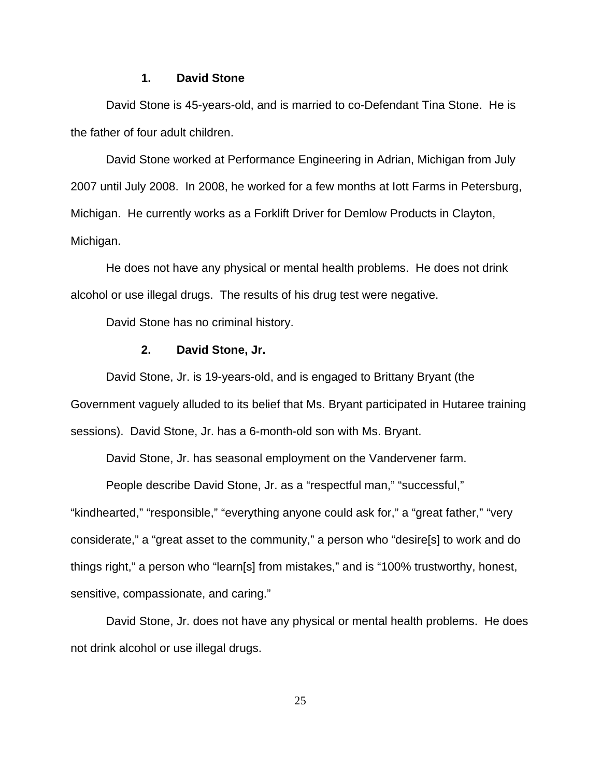### **1. David Stone**

David Stone is 45-years-old, and is married to co-Defendant Tina Stone. He is the father of four adult children.

David Stone worked at Performance Engineering in Adrian, Michigan from July 2007 until July 2008. In 2008, he worked for a few months at Iott Farms in Petersburg, Michigan. He currently works as a Forklift Driver for Demlow Products in Clayton, Michigan.

He does not have any physical or mental health problems. He does not drink alcohol or use illegal drugs. The results of his drug test were negative.

David Stone has no criminal history.

#### **2. David Stone, Jr.**

David Stone, Jr. is 19-years-old, and is engaged to Brittany Bryant (the Government vaguely alluded to its belief that Ms. Bryant participated in Hutaree training sessions). David Stone, Jr. has a 6-month-old son with Ms. Bryant.

David Stone, Jr. has seasonal employment on the Vandervener farm.

People describe David Stone, Jr. as a "respectful man," "successful," "kindhearted," "responsible," "everything anyone could ask for," a "great father," "very considerate," a "great asset to the community," a person who "desire[s] to work and do things right," a person who "learn[s] from mistakes," and is "100% trustworthy, honest, sensitive, compassionate, and caring."

David Stone, Jr. does not have any physical or mental health problems. He does not drink alcohol or use illegal drugs.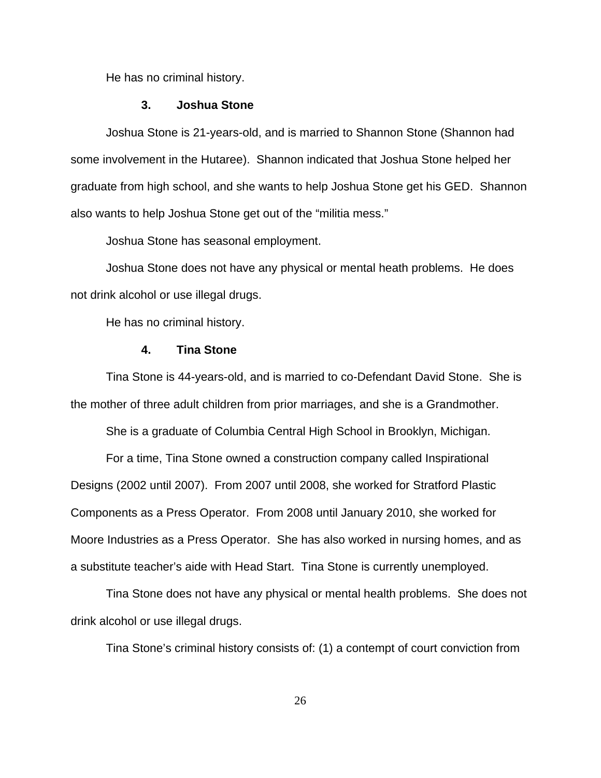He has no criminal history.

### **3. Joshua Stone**

Joshua Stone is 21-years-old, and is married to Shannon Stone (Shannon had some involvement in the Hutaree). Shannon indicated that Joshua Stone helped her graduate from high school, and she wants to help Joshua Stone get his GED. Shannon also wants to help Joshua Stone get out of the "militia mess."

Joshua Stone has seasonal employment.

Joshua Stone does not have any physical or mental heath problems. He does not drink alcohol or use illegal drugs.

He has no criminal history.

#### **4. Tina Stone**

Tina Stone is 44-years-old, and is married to co-Defendant David Stone. She is the mother of three adult children from prior marriages, and she is a Grandmother.

She is a graduate of Columbia Central High School in Brooklyn, Michigan.

For a time, Tina Stone owned a construction company called Inspirational Designs (2002 until 2007). From 2007 until 2008, she worked for Stratford Plastic Components as a Press Operator. From 2008 until January 2010, she worked for Moore Industries as a Press Operator. She has also worked in nursing homes, and as a substitute teacher's aide with Head Start. Tina Stone is currently unemployed.

Tina Stone does not have any physical or mental health problems. She does not drink alcohol or use illegal drugs.

Tina Stone's criminal history consists of: (1) a contempt of court conviction from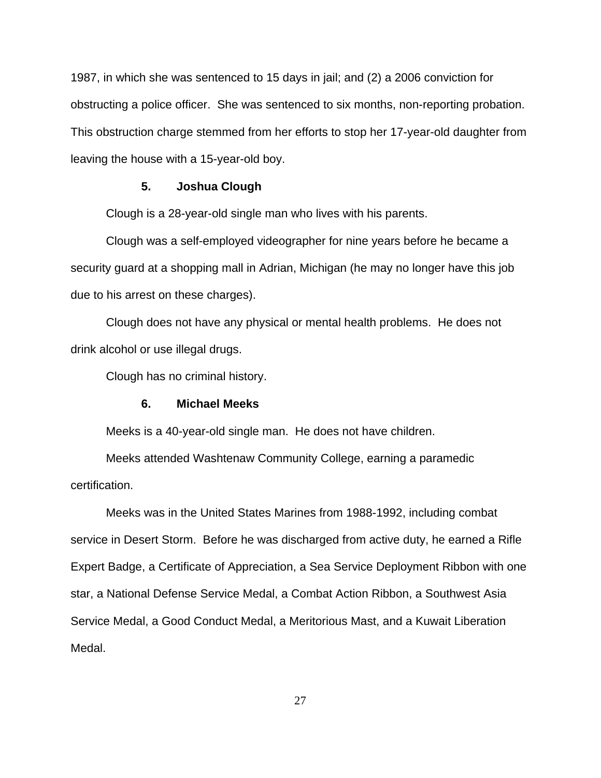1987, in which she was sentenced to 15 days in jail; and (2) a 2006 conviction for obstructing a police officer. She was sentenced to six months, non-reporting probation. This obstruction charge stemmed from her efforts to stop her 17-year-old daughter from leaving the house with a 15-year-old boy.

### **5. Joshua Clough**

Clough is a 28-year-old single man who lives with his parents.

Clough was a self-employed videographer for nine years before he became a security guard at a shopping mall in Adrian, Michigan (he may no longer have this job due to his arrest on these charges).

Clough does not have any physical or mental health problems. He does not drink alcohol or use illegal drugs.

Clough has no criminal history.

### **6. Michael Meeks**

Meeks is a 40-year-old single man. He does not have children.

Meeks attended Washtenaw Community College, earning a paramedic certification.

Meeks was in the United States Marines from 1988-1992, including combat service in Desert Storm. Before he was discharged from active duty, he earned a Rifle Expert Badge, a Certificate of Appreciation, a Sea Service Deployment Ribbon with one star, a National Defense Service Medal, a Combat Action Ribbon, a Southwest Asia Service Medal, a Good Conduct Medal, a Meritorious Mast, and a Kuwait Liberation Medal.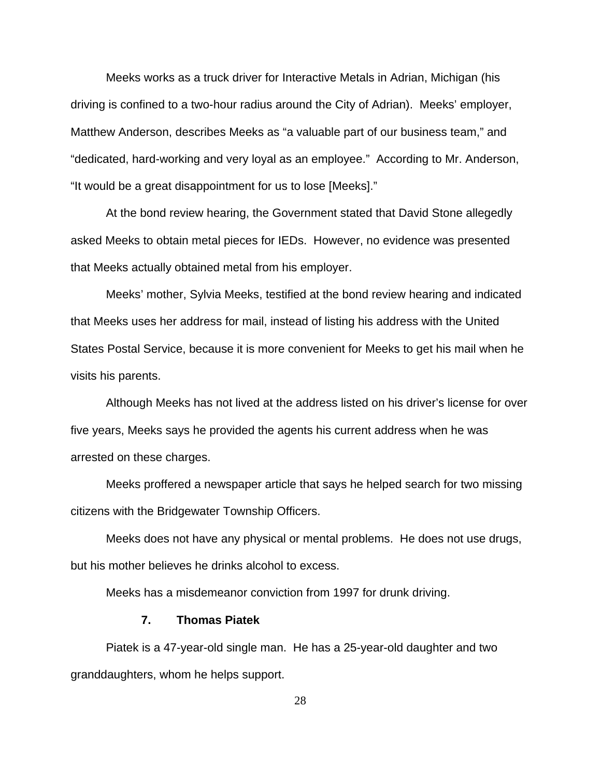Meeks works as a truck driver for Interactive Metals in Adrian, Michigan (his driving is confined to a two-hour radius around the City of Adrian). Meeks' employer, Matthew Anderson, describes Meeks as "a valuable part of our business team," and "dedicated, hard-working and very loyal as an employee." According to Mr. Anderson, "It would be a great disappointment for us to lose [Meeks]."

At the bond review hearing, the Government stated that David Stone allegedly asked Meeks to obtain metal pieces for IEDs. However, no evidence was presented that Meeks actually obtained metal from his employer.

Meeks' mother, Sylvia Meeks, testified at the bond review hearing and indicated that Meeks uses her address for mail, instead of listing his address with the United States Postal Service, because it is more convenient for Meeks to get his mail when he visits his parents.

Although Meeks has not lived at the address listed on his driver's license for over five years, Meeks says he provided the agents his current address when he was arrested on these charges.

Meeks proffered a newspaper article that says he helped search for two missing citizens with the Bridgewater Township Officers.

Meeks does not have any physical or mental problems. He does not use drugs, but his mother believes he drinks alcohol to excess.

Meeks has a misdemeanor conviction from 1997 for drunk driving.

#### **7. Thomas Piatek**

Piatek is a 47-year-old single man. He has a 25-year-old daughter and two granddaughters, whom he helps support.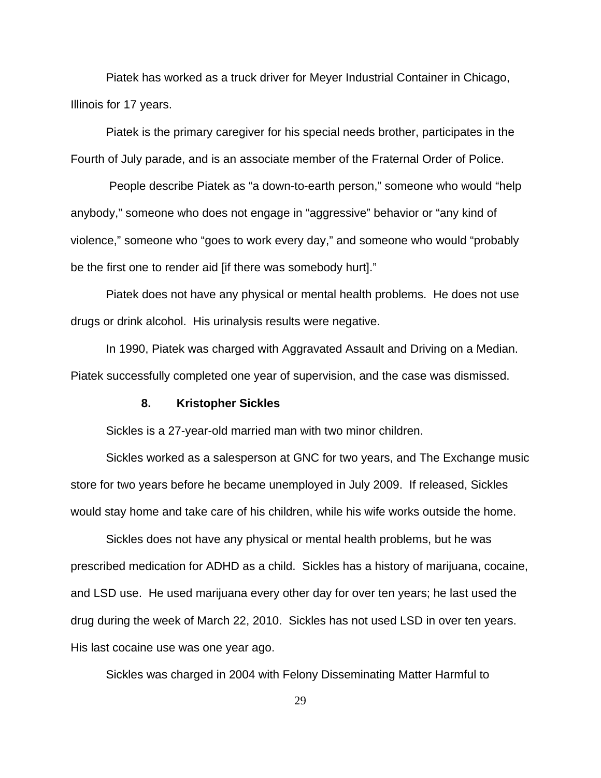Piatek has worked as a truck driver for Meyer Industrial Container in Chicago, Illinois for 17 years.

Piatek is the primary caregiver for his special needs brother, participates in the Fourth of July parade, and is an associate member of the Fraternal Order of Police.

 People describe Piatek as "a down-to-earth person," someone who would "help anybody," someone who does not engage in "aggressive" behavior or "any kind of violence," someone who "goes to work every day," and someone who would "probably be the first one to render aid [if there was somebody hurt]."

Piatek does not have any physical or mental health problems. He does not use drugs or drink alcohol. His urinalysis results were negative.

In 1990, Piatek was charged with Aggravated Assault and Driving on a Median. Piatek successfully completed one year of supervision, and the case was dismissed.

### **8. Kristopher Sickles**

Sickles is a 27-year-old married man with two minor children.

Sickles worked as a salesperson at GNC for two years, and The Exchange music store for two years before he became unemployed in July 2009. If released, Sickles would stay home and take care of his children, while his wife works outside the home.

Sickles does not have any physical or mental health problems, but he was prescribed medication for ADHD as a child. Sickles has a history of marijuana, cocaine, and LSD use. He used marijuana every other day for over ten years; he last used the drug during the week of March 22, 2010. Sickles has not used LSD in over ten years. His last cocaine use was one year ago.

Sickles was charged in 2004 with Felony Disseminating Matter Harmful to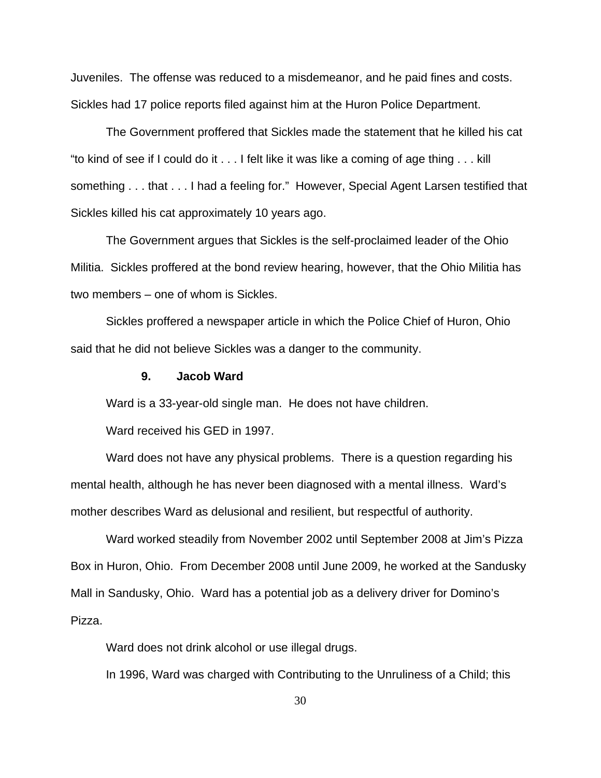Juveniles. The offense was reduced to a misdemeanor, and he paid fines and costs. Sickles had 17 police reports filed against him at the Huron Police Department.

The Government proffered that Sickles made the statement that he killed his cat "to kind of see if I could do it . . . I felt like it was like a coming of age thing . . . kill something . . . that . . . I had a feeling for." However, Special Agent Larsen testified that Sickles killed his cat approximately 10 years ago.

The Government argues that Sickles is the self-proclaimed leader of the Ohio Militia. Sickles proffered at the bond review hearing, however, that the Ohio Militia has two members – one of whom is Sickles.

Sickles proffered a newspaper article in which the Police Chief of Huron, Ohio said that he did not believe Sickles was a danger to the community.

### **9. Jacob Ward**

Ward is a 33-year-old single man. He does not have children.

Ward received his GED in 1997.

Ward does not have any physical problems. There is a question regarding his mental health, although he has never been diagnosed with a mental illness. Ward's mother describes Ward as delusional and resilient, but respectful of authority.

Ward worked steadily from November 2002 until September 2008 at Jim's Pizza Box in Huron, Ohio. From December 2008 until June 2009, he worked at the Sandusky Mall in Sandusky, Ohio. Ward has a potential job as a delivery driver for Domino's Pizza.

Ward does not drink alcohol or use illegal drugs.

In 1996, Ward was charged with Contributing to the Unruliness of a Child; this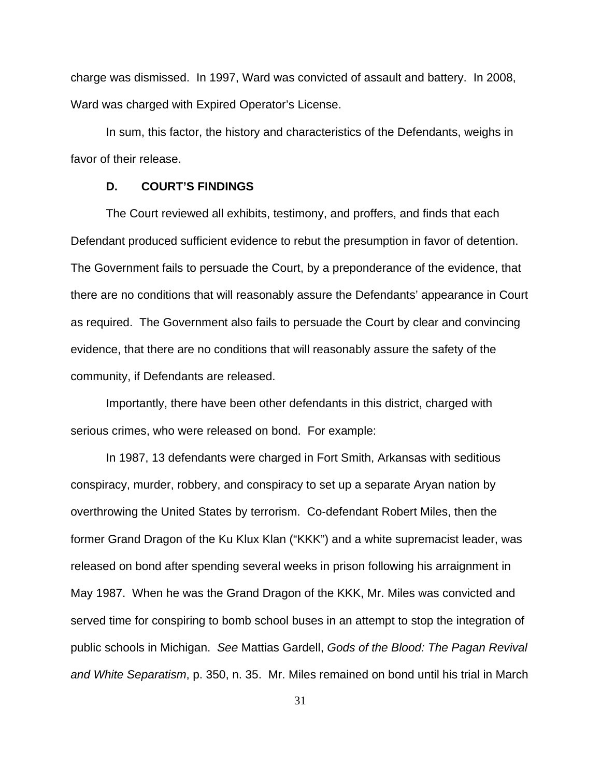charge was dismissed. In 1997, Ward was convicted of assault and battery. In 2008, Ward was charged with Expired Operator's License.

In sum, this factor, the history and characteristics of the Defendants, weighs in favor of their release.

### **D. COURT'S FINDINGS**

The Court reviewed all exhibits, testimony, and proffers, and finds that each Defendant produced sufficient evidence to rebut the presumption in favor of detention. The Government fails to persuade the Court, by a preponderance of the evidence, that there are no conditions that will reasonably assure the Defendants' appearance in Court as required. The Government also fails to persuade the Court by clear and convincing evidence, that there are no conditions that will reasonably assure the safety of the community, if Defendants are released.

Importantly, there have been other defendants in this district, charged with serious crimes, who were released on bond. For example:

In 1987, 13 defendants were charged in Fort Smith, Arkansas with seditious conspiracy, murder, robbery, and conspiracy to set up a separate Aryan nation by overthrowing the United States by terrorism. Co-defendant Robert Miles, then the former Grand Dragon of the Ku Klux Klan ("KKK") and a white supremacist leader, was released on bond after spending several weeks in prison following his arraignment in May 1987. When he was the Grand Dragon of the KKK, Mr. Miles was convicted and served time for conspiring to bomb school buses in an attempt to stop the integration of public schools in Michigan. *See* Mattias Gardell, *Gods of the Blood: The Pagan Revival and White Separatism*, p. 350, n. 35. Mr. Miles remained on bond until his trial in March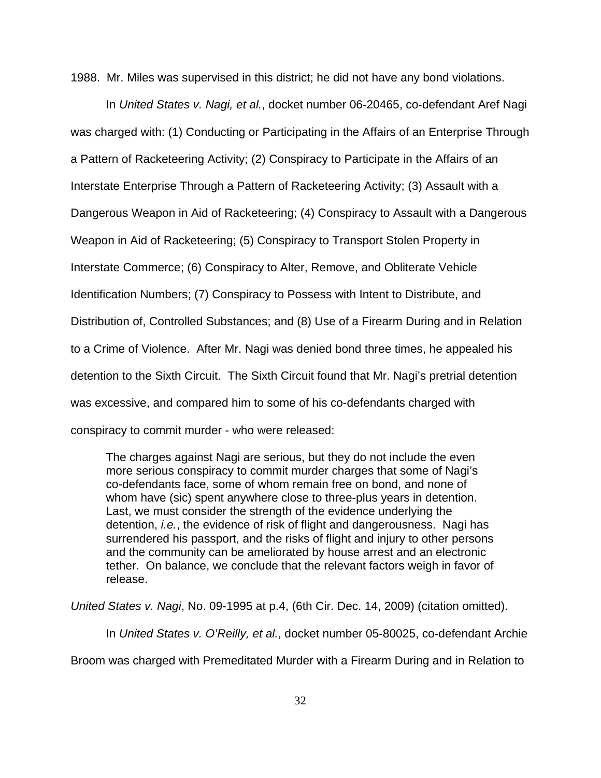1988. Mr. Miles was supervised in this district; he did not have any bond violations.

In *United States v. Nagi, et al.*, docket number 06-20465, co-defendant Aref Nagi was charged with: (1) Conducting or Participating in the Affairs of an Enterprise Through a Pattern of Racketeering Activity; (2) Conspiracy to Participate in the Affairs of an Interstate Enterprise Through a Pattern of Racketeering Activity; (3) Assault with a Dangerous Weapon in Aid of Racketeering; (4) Conspiracy to Assault with a Dangerous Weapon in Aid of Racketeering; (5) Conspiracy to Transport Stolen Property in Interstate Commerce; (6) Conspiracy to Alter, Remove, and Obliterate Vehicle Identification Numbers; (7) Conspiracy to Possess with Intent to Distribute, and Distribution of, Controlled Substances; and (8) Use of a Firearm During and in Relation to a Crime of Violence. After Mr. Nagi was denied bond three times, he appealed his detention to the Sixth Circuit. The Sixth Circuit found that Mr. Nagi's pretrial detention was excessive, and compared him to some of his co-defendants charged with conspiracy to commit murder - who were released:

The charges against Nagi are serious, but they do not include the even more serious conspiracy to commit murder charges that some of Nagi's co-defendants face, some of whom remain free on bond, and none of whom have (sic) spent anywhere close to three-plus years in detention. Last, we must consider the strength of the evidence underlying the detention, *i.e.*, the evidence of risk of flight and dangerousness. Nagi has surrendered his passport, and the risks of flight and injury to other persons and the community can be ameliorated by house arrest and an electronic tether. On balance, we conclude that the relevant factors weigh in favor of release.

*United States v. Nagi*, No. 09-1995 at p.4, (6th Cir. Dec. 14, 2009) (citation omitted).

In *United States v. O'Reilly, et al.*, docket number 05-80025, co-defendant Archie Broom was charged with Premeditated Murder with a Firearm During and in Relation to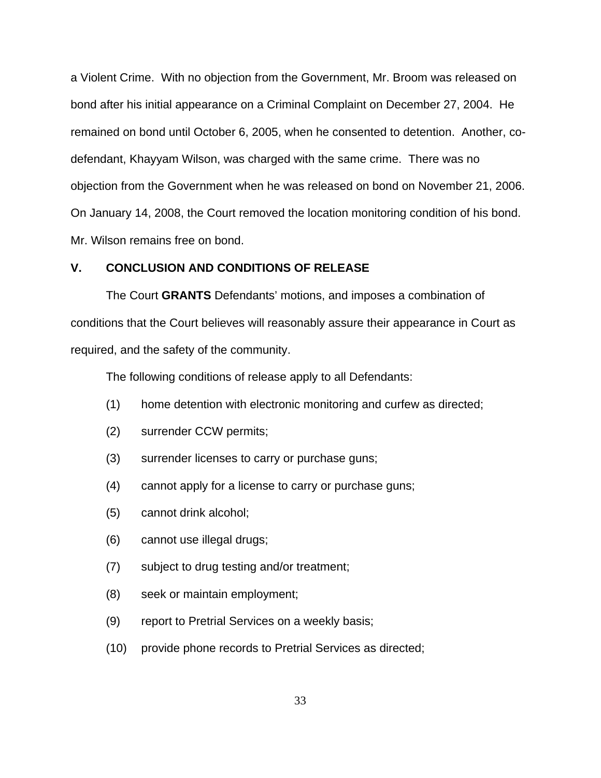a Violent Crime. With no objection from the Government, Mr. Broom was released on bond after his initial appearance on a Criminal Complaint on December 27, 2004. He remained on bond until October 6, 2005, when he consented to detention. Another, codefendant, Khayyam Wilson, was charged with the same crime. There was no objection from the Government when he was released on bond on November 21, 2006. On January 14, 2008, the Court removed the location monitoring condition of his bond. Mr. Wilson remains free on bond.

### **V. CONCLUSION AND CONDITIONS OF RELEASE**

The Court **GRANTS** Defendants' motions, and imposes a combination of conditions that the Court believes will reasonably assure their appearance in Court as required, and the safety of the community.

The following conditions of release apply to all Defendants:

- (1) home detention with electronic monitoring and curfew as directed;
- (2) surrender CCW permits;
- (3) surrender licenses to carry or purchase guns;
- (4) cannot apply for a license to carry or purchase guns;
- (5) cannot drink alcohol;
- (6) cannot use illegal drugs;
- (7) subject to drug testing and/or treatment;
- (8) seek or maintain employment;
- (9) report to Pretrial Services on a weekly basis;
- (10) provide phone records to Pretrial Services as directed;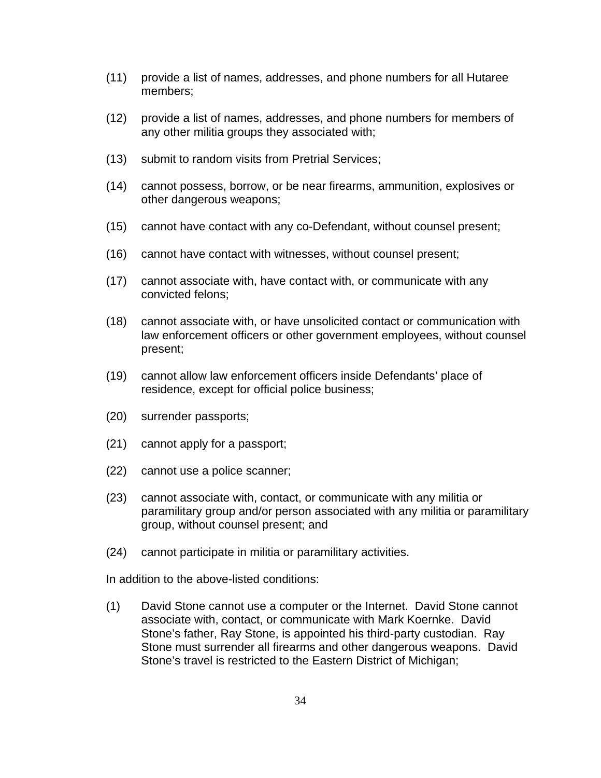- (11) provide a list of names, addresses, and phone numbers for all Hutaree members;
- (12) provide a list of names, addresses, and phone numbers for members of any other militia groups they associated with;
- (13) submit to random visits from Pretrial Services;
- (14) cannot possess, borrow, or be near firearms, ammunition, explosives or other dangerous weapons;
- (15) cannot have contact with any co-Defendant, without counsel present;
- (16) cannot have contact with witnesses, without counsel present;
- (17) cannot associate with, have contact with, or communicate with any convicted felons;
- (18) cannot associate with, or have unsolicited contact or communication with law enforcement officers or other government employees, without counsel present;
- (19) cannot allow law enforcement officers inside Defendants' place of residence, except for official police business;
- (20) surrender passports;
- (21) cannot apply for a passport;
- (22) cannot use a police scanner;
- (23) cannot associate with, contact, or communicate with any militia or paramilitary group and/or person associated with any militia or paramilitary group, without counsel present; and
- (24) cannot participate in militia or paramilitary activities.

In addition to the above-listed conditions:

(1) David Stone cannot use a computer or the Internet. David Stone cannot associate with, contact, or communicate with Mark Koernke. David Stone's father, Ray Stone, is appointed his third-party custodian. Ray Stone must surrender all firearms and other dangerous weapons. David Stone's travel is restricted to the Eastern District of Michigan;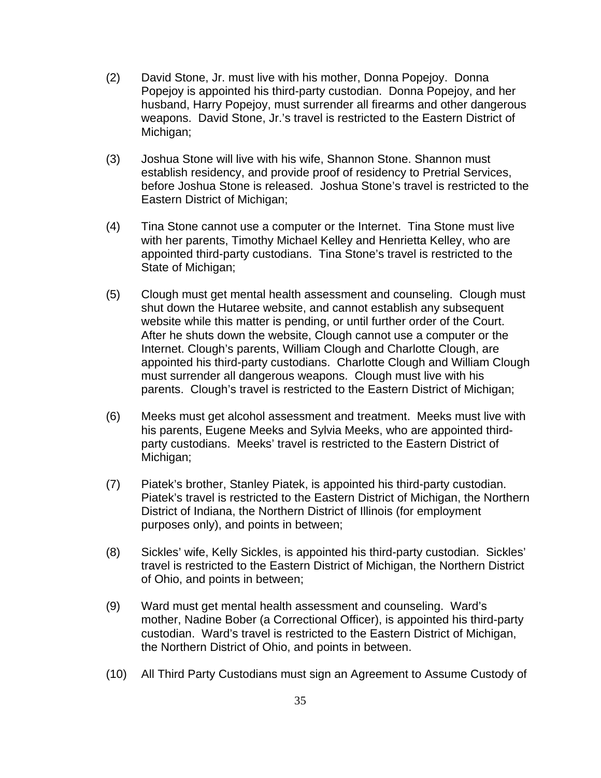- (2) David Stone, Jr. must live with his mother, Donna Popejoy. Donna Popejoy is appointed his third-party custodian. Donna Popejoy, and her husband, Harry Popejoy, must surrender all firearms and other dangerous weapons. David Stone, Jr.'s travel is restricted to the Eastern District of Michigan;
- (3) Joshua Stone will live with his wife, Shannon Stone. Shannon must establish residency, and provide proof of residency to Pretrial Services, before Joshua Stone is released. Joshua Stone's travel is restricted to the Eastern District of Michigan;
- (4) Tina Stone cannot use a computer or the Internet. Tina Stone must live with her parents, Timothy Michael Kelley and Henrietta Kelley, who are appointed third-party custodians. Tina Stone's travel is restricted to the State of Michigan;
- (5) Clough must get mental health assessment and counseling. Clough must shut down the Hutaree website, and cannot establish any subsequent website while this matter is pending, or until further order of the Court. After he shuts down the website, Clough cannot use a computer or the Internet. Clough's parents, William Clough and Charlotte Clough, are appointed his third-party custodians. Charlotte Clough and William Clough must surrender all dangerous weapons. Clough must live with his parents. Clough's travel is restricted to the Eastern District of Michigan;
- (6) Meeks must get alcohol assessment and treatment. Meeks must live with his parents, Eugene Meeks and Sylvia Meeks, who are appointed thirdparty custodians. Meeks' travel is restricted to the Eastern District of Michigan;
- (7) Piatek's brother, Stanley Piatek, is appointed his third-party custodian. Piatek's travel is restricted to the Eastern District of Michigan, the Northern District of Indiana, the Northern District of Illinois (for employment purposes only), and points in between;
- (8) Sickles' wife, Kelly Sickles, is appointed his third-party custodian. Sickles' travel is restricted to the Eastern District of Michigan, the Northern District of Ohio, and points in between;
- (9) Ward must get mental health assessment and counseling. Ward's mother, Nadine Bober (a Correctional Officer), is appointed his third-party custodian. Ward's travel is restricted to the Eastern District of Michigan, the Northern District of Ohio, and points in between.
- (10) All Third Party Custodians must sign an Agreement to Assume Custody of